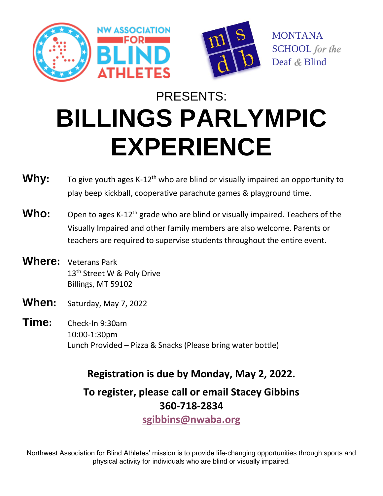





MONTANA SCHOOL for the Deaf & Blind

# PRESENTS: **BILLINGS PARLYMPIC EXPERIENCE**

- **Why:** To give youth ages K-12<sup>th</sup> who are blind or visually impaired an opportunity to play beep kickball, cooperative parachute games & playground time. **Who:** Open to ages K-12<sup>th</sup> grade who are blind or visually impaired. Teachers of the Visually Impaired and other family members are also welcome. Parents or teachers are required to supervise students throughout the entire event. **Where:** Veterans Park 13<sup>th</sup> Street W & Poly Drive Billings, MT 59102 **When:** Saturday, May 7, 2022
- **Time:** Check-In 9:30am 10:00-1:30pm Lunch Provided – Pizza & Snacks (Please bring water bottle)

### **Registration is due by Monday, May 2, 2022.**

**To register, please call or email Stacey Gibbins 360-718-2834 [sgibbins@nwaba.org](mailto:sgibbins@nwaba.org)** 

Northwest Association for Blind Athletes' mission is to provide life-changing opportunities through sports and physical activity for individuals who are blind or visually impaired.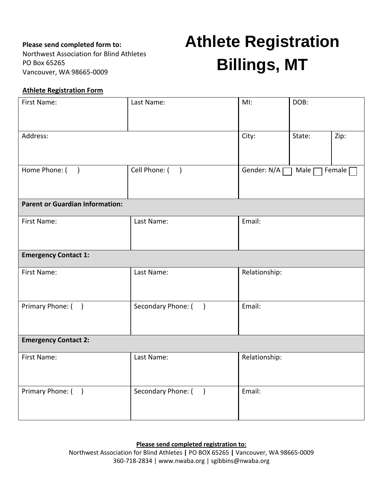### **Please send completed form to:**

Northwest Association for Blind Athletes PO Box 65265 Vancouver, WA 98665-0009

## **Athlete Registration Billings, MT**

### **Athlete Registration Form**

| First Name:                            | Last Name:                          | MI:                                        | DOB:   |      |
|----------------------------------------|-------------------------------------|--------------------------------------------|--------|------|
|                                        |                                     |                                            |        |      |
| Address:                               |                                     | City:                                      | State: | Zip: |
|                                        |                                     |                                            |        |      |
| Home Phone: ()                         | Cell Phone: ()                      | Gender: $N/A$<br>Female $\Gamma$<br>Male [ |        |      |
|                                        |                                     |                                            |        |      |
| <b>Parent or Guardian Information:</b> |                                     |                                            |        |      |
| First Name:                            | Last Name:                          | Email:                                     |        |      |
|                                        |                                     |                                            |        |      |
| <b>Emergency Contact 1:</b>            |                                     |                                            |        |      |
| First Name:                            | Last Name:                          | Relationship:                              |        |      |
|                                        |                                     |                                            |        |      |
| Primary Phone: ()                      | Secondary Phone: ()                 | Email:                                     |        |      |
|                                        |                                     |                                            |        |      |
| <b>Emergency Contact 2:</b>            |                                     |                                            |        |      |
| First Name:                            | Last Name:                          | Relationship:                              |        |      |
|                                        |                                     |                                            |        |      |
| Primary Phone: ()                      | Secondary Phone: (<br>$\rightarrow$ | Email:                                     |        |      |
|                                        |                                     |                                            |        |      |
|                                        |                                     |                                            |        |      |

#### **Please send completed registration to:**

Northwest Association for Blind Athletes **|** PO BOX 65265 **|** Vancouver, WA 98665-0009 360-718-2834 | www.nwaba.org | sgibbins@nwaba.org